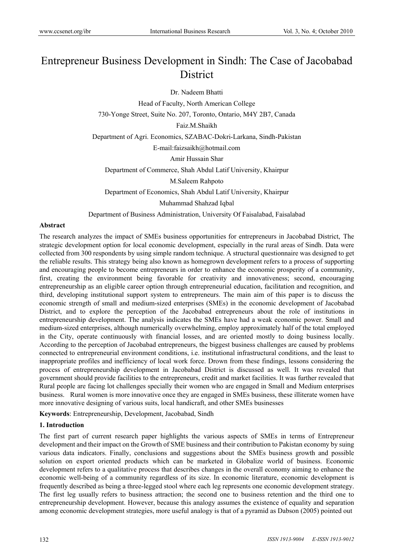# Entrepreneur Business Development in Sindh: The Case of Jacobabad **District**

Dr. Nadeem Bhatti Head of Faculty, North American College 730-Yonge Street, Suite No. 207, Toronto, Ontario, M4Y 2B7, Canada Faiz.M.Shaikh Department of Agri. Economics, SZABAC-Dokri-Larkana, Sindh-Pakistan E-mail:faizsaikh@hotmail.com Amir Hussain Shar Department of Commerce, Shah Abdul Latif University, Khairpur M.Saleem Rahpoto Department of Economics, Shah Abdul Latif University, Khairpur Muhammad Shahzad Iqbal

Department of Business Administration, University Of Faisalabad, Faisalabad

# **Abstract**

The research analyzes the impact of SMEs business opportunities for entrepreneurs in Jacobabad District, The strategic development option for local economic development, especially in the rural areas of Sindh. Data were collected from 300 respondents by using simple random technique. A structural questionnaire was designed to get the reliable results. This strategy being also known as homegrown development refers to a process of supporting and encouraging people to become entrepreneurs in order to enhance the economic prosperity of a community, first, creating the environment being favorable for creativity and innovativeness; second, encouraging entrepreneurship as an eligible career option through entrepreneurial education, facilitation and recognition, and third, developing institutional support system to entrepreneurs. The main aim of this paper is to discuss the economic strength of small and medium-sized enterprises (SMEs) in the economic development of Jacobabad District, and to explore the perception of the Jacobabad entrepreneurs about the role of institutions in entrepreneurship development. The analysis indicates the SMEs have had a weak economic power. Small and medium-sized enterprises, although numerically overwhelming, employ approximately half of the total employed in the City, operate continuously with financial losses, and are oriented mostly to doing business locally. According to the perception of Jacobabad entrepreneurs, the biggest business challenges are caused by problems connected to entrepreneurial environment conditions, i.e. institutional infrastructural conditions, and the least to inappropriate profiles and inefficiency of local work force. Drown from these findings, lessons considering the process of entrepreneurship development in Jacobabad District is discussed as well. It was revealed that government should provide facilities to the entrepreneurs, credit and market facilities. It was further revealed that Rural people are facing lot challenges specially their women who are engaged in Small and Medium enterprises business. Rural women is more innovative once they are engaged in SMEs business, these illiterate women have more innovative designing of various suits, local handicraft, and other SMEs businesses

**Keywords**: Entrepreneurship, Development, Jacobabad, Sindh

# **1. Introduction**

The first part of current research paper highlights the various aspects of SMEs in terms of Entrepreneur development and their impact on the Growth of SME business and their contribution to Pakistan economy by suing various data indicators. Finally, conclusions and suggestions about the SMEs business growth and possible solution on export oriented products which can be marketed in Globalize world of business. Economic development refers to a qualitative process that describes changes in the overall economy aiming to enhance the economic well-being of a community regardless of its size. In economic literature, economic development is frequently described as being a three-legged stool where each leg represents one economic development strategy. The first leg usually refers to business attraction; the second one to business retention and the third one to entrepreneurship development. However, because this analogy assumes the existence of equality and separation among economic development strategies, more useful analogy is that of a pyramid as Dabson (2005) pointed out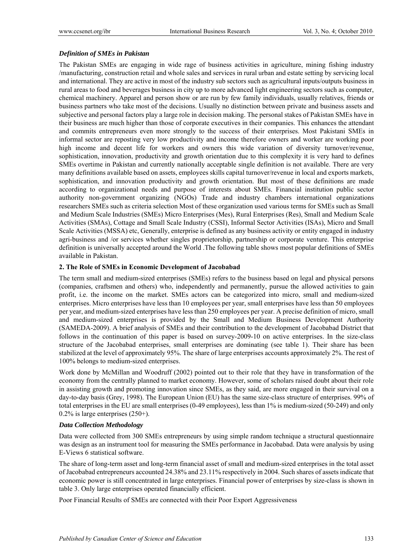# *Definition of SMEs in Pakistan*

The Pakistan SMEs are engaging in wide rage of business activities in agriculture, mining fishing industry /manufacturing, construction retail and whole sales and services in rural urban and estate setting by servicing local and international. They are active in most of the industry sub sectors such as agricultural inputs/outputs business in rural areas to food and beverages business in city up to more advanced light engineering sectors such as computer, chemical machinery. Apparel and person show or are run by few family individuals, usually relatives, friends or business partners who take most of the decisions. Usually no distinction between private and business assets and subjective and personal factors play a large role in decision making. The personal stakes of Pakistan SMEs have in their business are much higher than those of corporate executives in their companies. This enhances the attendant and commits entrepreneurs even more strongly to the success of their enterprises. Most Pakistani SMEs in informal sector are reposting very low productivity and income therefore owners and worker are working poor high income and decent life for workers and owners this wide variation of diversity turnover/revenue, sophistication, innovation, productivity and growth orientation due to this complexity it is very hard to defines SMEs overtime in Pakistan and currently nationally acceptable single definition is not available. There are very many definitions available based on assets, employees skills capital turnover/revenue in local and exports markets, sophistication, and innovation productivity and growth orientation. But most of these definitions are made according to organizational needs and purpose of interests about SMEs. Financial institution public sector authority non-government organizing (NGOs) Trade and industry chambers international organizations researchers SMEs such as criteria selection Most of these organization used various terms for SMEs such as Small and Medium Scale Industries (SMEs) Micro Enterprises (Mes), Rural Enterprises (Res), Small and Medium Scale Activities (SMAs), Cottage and Small Scale Industry (CSSI), Informal Sector Activities (ISAs), Micro and Small Scale Activities (MSSA) etc, Generally, enterprise is defined as any business activity or entity engaged in industry agri-business and /or services whether singles proprietorship, partnership or corporate venture. This enterprise definition is universally accepted around the World .The following table shows most popular definitions of SMEs available in Pakistan.

#### **2. The Role of SMEs in Economic Development of Jacobabad**

The term small and medium-sized enterprises (SMEs) refers to the business based on legal and physical persons (companies, craftsmen and others) who, independently and permanently, pursue the allowed activities to gain profit, i.e. the income on the market. SMEs actors can be categorized into micro, small and medium-sized enterprises. Micro enterprises have less than 10 employees per year, small enterprises have less than 50 employees per year, and medium-sized enterprises have less than 250 employees per year. A precise definition of micro, small and medium-sized enterprises is provided by the Small and Medium Business Development Authority (SAMEDA-2009). A brief analysis of SMEs and their contribution to the development of Jacobabad District that follows in the continuation of this paper is based on survey-2009-10 on active enterprises. In the size-class structure of the Jacobabad enterprises, small enterprises are dominating (see table 1). Their share has been stabilized at the level of approximately 95%. The share of large enterprises accounts approximately 2%. The rest of 100% belongs to medium-sized enterprises.

Work done by McMillan and Woodruff (2002) pointed out to their role that they have in transformation of the economy from the centrally planned to market economy. However, some of scholars raised doubt about their role in assisting growth and promoting innovation since SMEs, as they said, are more engaged in their survival on a day-to-day basis (Grey, 1998). The European Union (EU) has the same size-class structure of enterprises. 99% of total enterprises in the EU are small enterprises (0-49 employees), less than 1% is medium-sized (50-249) and only 0.2% is large enterprises (250+).

#### *Data Collection Methodology*

Data were collected from 300 SMEs entrepreneurs by using simple random technique a structural questionnaire was design as an instrument tool for measuring the SMEs performance in Jacobabad. Data were analysis by using E-Views 6 statistical software.

The share of long-term asset and long-term financial asset of small and medium-sized enterprises in the total asset of Jacobabad entrepreneurs accounted 24.38% and 23.11% respectively in 2004. Such shares of assets indicate that economic power is still concentrated in large enterprises. Financial power of enterprises by size-class is shown in table 3. Only large enterprises operated financially efficient.

Poor Financial Results of SMEs are connected with their Poor Export Aggressiveness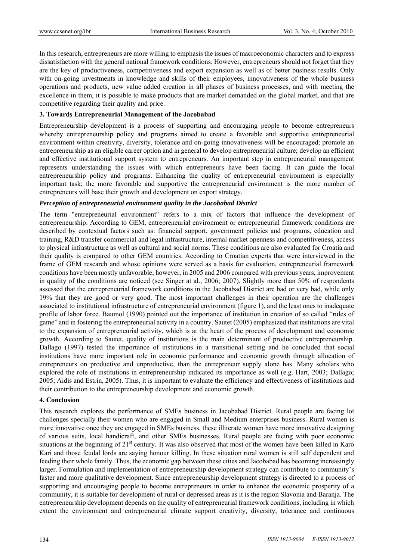In this research, entrepreneurs are more willing to emphasis the issues of macroeconomic characters and to express dissatisfaction with the general national framework conditions. However, entrepreneurs should not forget that they are the key of productiveness, competitiveness and export expansion as well as of better business results. Only with on-going investments in knowledge and skills of their employees, innovativeness of the whole business operations and products, new value added creation in all phases of business processes, and with meeting the excellence in them, it is possible to make products that are market demanded on the global market, and that are competitive regarding their quality and price.

# **3. Towards Entrepreneurial Management of the Jacobabad**

Entrepreneurship development is a process of supporting and encouraging people to become entrepreneurs whereby entrepreneurship policy and programs aimed to create a favorable and supportive entrepreneurial environment within creativity, diversity, tolerance and on-going innovativeness will be encouraged; promote an entrepreneurship as an eligible career option and in general to develop entrepreneurial culture; develop an efficient and effective institutional support system to entrepreneurs. An important step in entrepreneurial management represents understanding the issues with which entrepreneurs have been facing. It can guide the local entrepreneurship policy and programs. Enhancing the quality of entrepreneurial environment is especially important task; the more favorable and supportive the entrepreneurial environment is the more number of entrepreneurs will base their growth and development on export strategy.

# *Perception of entrepreneurial environment quality in the Jacobabad District*

The term "entrepreneurial environment" refers to a mix of factors that influence the development of entrepreneurship. According to GEM, entrepreneurial environment or entrepreneurial framework conditions are described by contextual factors such as: financial support, government policies and programs, education and training, R&D transfer commercial and legal infrastructure, internal market openness and competitiveness, access to physical infrastructure as well as cultural and social norms. These conditions are also evaluated for Croatia and their quality is compared to other GEM countries. According to Croatian experts that were interviewed in the frame of GEM research and whose opinions were served as a basis for evaluation, entrepreneurial framework conditions have been mostly unfavorable; however, in 2005 and 2006 compared with previous years, improvement in quality of the conditions are noticed (see Singer at al., 2006; 2007). Slightly more than 50% of respondents assessed that the entrepreneurial framework conditions in the Jacobabad District are bad or very bad, while only 19% that they are good or very good. The most important challenges in their operation are the challenges associated to institutional infrastructure of entrepreneurial environment (figure 1), and the least ones to inadequate profile of labor force. Baumol (1990) pointed out the importance of institution in creation of so called "rules of game" and in fostering the entrepreneurial activity in a country. Sautet (2005) emphasized that institutions are vital to the expansion of entrepreneurial activity, which is at the heart of the process of development and economic growth. According to Sautet, quality of institutions is the main determinant of productive entrepreneurship. Dallago (1997) tested the importance of institutions in a transitional setting and he concluded that social institutions have more important role in economic performance and economic growth through allocation of entrepreneurs on productive and unproductive, than the entrepreneur supply alone has. Many scholars who explored the role of institutions in entrepreneurship indicated its importance as well (e.g. Hart, 2003; Dallago; 2005; Aidis and Estrin, 2005). Thus, it is important to evaluate the efficiency and effectiveness of institutions and their contribution to the entrepreneurship development and economic growth.

#### **4. Conclusion**

This research explores the performance of SMEs business in Jacobabad District. Rural people are facing lot challenges specially their women who are engaged in Small and Medium enterprises business. Rural women is more innovative once they are engaged in SMEs business, these illiterate women have more innovative designing of various suits, local handicraft, and other SMEs businesses. Rural people are facing with poor economic situations at the beginning of  $21<sup>st</sup>$  century. It was also observed that most of the women have been killed in Karo Kari and those feudal lords are saying honour killing. In these situation rural women is still self dependent and feeding their whole family. Thus, the economic gap between these cities and Jacobabad has becoming increasingly larger. Formulation and implementation of entrepreneurship development strategy can contribute to community's faster and more qualitative development. Since entrepreneurship development strategy is directed to a process of supporting and encouraging people to become entrepreneurs in order to enhance the economic prosperity of a community, it is suitable for development of rural or depressed areas as it is the region Slavonia and Baranja. The entrepreneurship development depends on the quality of entrepreneurial framework conditions, including in which extent the environment and entrepreneurial climate support creativity, diversity, tolerance and continuous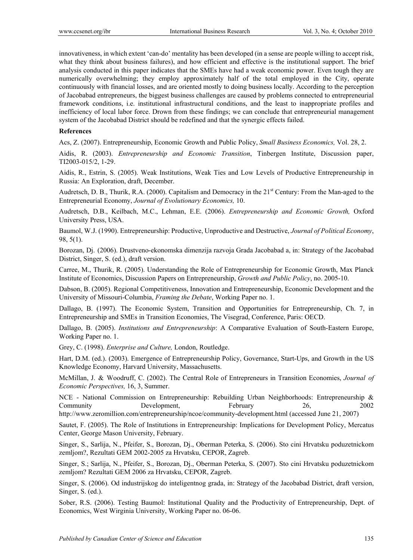innovativeness, in which extent 'can-do' mentality has been developed (in a sense are people willing to accept risk, what they think about business failures), and how efficient and effective is the institutional support. The brief analysis conducted in this paper indicates that the SMEs have had a weak economic power. Even tough they are numerically overwhelming; they employ approximately half of the total employed in the City, operate continuously with financial losses, and are oriented mostly to doing business locally. According to the perception of Jacobabad entrepreneurs, the biggest business challenges are caused by problems connected to entrepreneurial framework conditions, i.e. institutional infrastructural conditions, and the least to inappropriate profiles and inefficiency of local labor force. Drown from these findings; we can conclude that entrepreneurial management system of the Jacobabad District should be redefined and that the synergic effects failed.

# **References**

Acs, Z. (2007). Entrepreneurship, Economic Growth and Public Policy, *Small Business Economics,* Vol. 28, 2.

Aidis, R. (2003). *Entrepreneurship and Economic Transition*, Tinbergen Institute, Discussion paper, TI2003-015/2, 1-29.

Aidis, R., Estrin, S. (2005). Weak Institutions, Weak Ties and Low Levels of Productive Entrepreneurship in Russia: An Exploration, draft, December.

Audretsch, D. B., Thurik, R.A. (2000). Capitalism and Democracy in the 21<sup>st</sup> Century: From the Man-aged to the Entrepreneurial Economy, *Journal of Evolutionary Economics,* 10.

Audretsch, D.B., Keilbach, M.C., Lehman, E.E. (2006). *Entrepreneurship and Economic Growth,* Oxford University Press, USA.

Baumol, W.J. (1990). Entrepreneurship: Productive, Unproductive and Destructive, *Journal of Political Economy*, 98, 5(1).

Borozan, Dj. (2006). Drustveno-ekonomska dimenzija razvoja Grada Jacobabad a, in: Strategy of the Jacobabad District, Singer, S. (ed.), draft version.

Carree, M., Thurik, R. (2005). Understanding the Role of Entrepreneurship for Economic Growth, Max Planck Institute of Economics, Discussion Papers on Entrepreneurship, *Growth and Public Policy*, no. 2005-10.

Dabson, B. (2005). Regional Competitiveness, Innovation and Entrepreneurship, Economic Development and the University of Missouri-Columbia, *Framing the Debate*, Working Paper no. 1.

Dallago, B. (1997). The Economic System, Transition and Opportunities for Entrepreneurship, Ch. 7, in Entrepreneurship and SMEs in Transition Economies, The Visegrad, Conference, Paris: OECD.

Dallago, B. (2005). *Institutions and Entrepreneurship*: A Comparative Evaluation of South-Eastern Europe, Working Paper no. 1.

Grey, C. (1998). *Enterprise and Culture,* London, Routledge.

Hart, D.M. (ed.). (2003). Emergence of Entrepreneurship Policy, Governance, Start-Ups, and Growth in the US Knowledge Economy, Harvard University, Massachusetts.

McMillan, J. & Woodruff, C. (2002). The Central Role of Entrepreneurs in Transition Economies, *Journal of Economic Perspectives,* 16, 3, Summer.

NCE - National Commission on Entrepreneurship: Rebuilding Urban Neighborhoods: Entrepreneurship & Community Development, February 26, 2002

http://www.zeromillion.com/entrepreneurship/ncoe/community-development.html (accessed June 21, 2007)

Sautet, F. (2005). The Role of Institutions in Entrepreneurship: Implications for Development Policy, Mercatus Center, George Mason University, February.

Singer, S., Sarlija, N., Pfeifer, S., Borozan, Dj., Oberman Peterka, S. (2006). Sto cini Hrvatsku poduzetnickom zemljom?, Rezultati GEM 2002-2005 za Hrvatsku, CEPOR, Zagreb.

Singer, S.; Sarlija, N., Pfeifer, S., Borozan, Dj., Oberman Peterka, S. (2007). Sto cini Hrvatsku poduzetnickom zemljom? Rezultati GEM 2006 za Hrvatsku, CEPOR, Zagreb.

Singer, S. (2006). Od industrijskog do inteligentnog grada, in: Strategy of the Jacobabad District, draft version, Singer, S. (ed.).

Sober, R.S. (2006). Testing Baumol: Institutional Quality and the Productivity of Entrepreneurship, Dept. of Economics, West Wirginia University, Working Paper no. 06-06.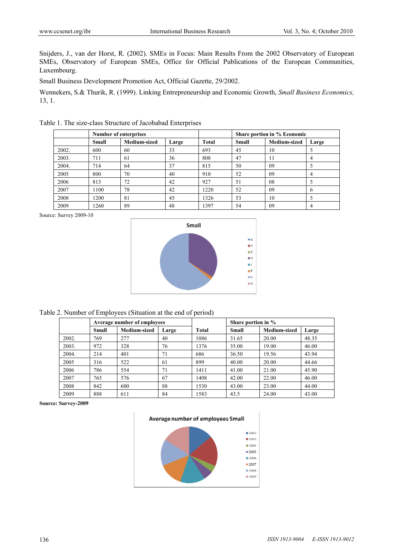Snijders, J., van der Horst, R. (2002). SMEs in Focus: Main Results From the 2002 Observatory of European SMEs, Observatory of European SMEs, Office for Official Publications of the European Communities, Luxembourg.

Small Business Development Promotion Act, Official Gazette, 29/2002.

Wennekers, S.& Thurik, R. (1999). Linking Entrepreneurship and Economic Growth, *Small Business Economics,* 13, 1.

Table 1. The size-class Structure of Jacobabad Enterprises

|       |       | <b>Number of enterprises</b> |       |       | Share portion in % Economic |                     |       |
|-------|-------|------------------------------|-------|-------|-----------------------------|---------------------|-------|
|       | Small | <b>Medium-sized</b>          | Large | Total | <b>Small</b>                | <b>Medium-sized</b> | Large |
| 2002. | 600   | 60                           | 33    | 693   | 45                          | 10                  |       |
| 2003. | 711   | 61                           | 36    | 808   | 47                          | 11                  | 4     |
| 2004. | 714   | 64                           | 37    | 815   | 50                          | 09                  |       |
| 2005  | 800   | 70                           | 40    | 910   | 52                          | 09                  |       |
| 2006  | 813   | 72                           | 42    | 927   | 51                          | 08                  |       |
| 2007  | 1100  | 78                           | 42    | 1220  | 52                          | 09                  | h     |
| 2008  | 1200  | 81                           | 45    | 1326  | 53                          | 10                  |       |
| 2009  | 1260  | 89                           | 48    | 1397  | 54                          | 09                  |       |

Source: Survey 2009-10



| Table 2. Number of Employees (Situation at the end of period) |  |
|---------------------------------------------------------------|--|
|                                                               |  |

|       | Average number of employees |                     |       |       |              | Share portion in % |       |  |
|-------|-----------------------------|---------------------|-------|-------|--------------|--------------------|-------|--|
|       | <b>Small</b>                | <b>Medium-sized</b> | Large | Total | <b>Small</b> | Medium-sized       | Large |  |
| 2002. | 769                         | 277                 | 40    | 1086  | 31.65        | 20.00              | 48.35 |  |
| 2003. | 972                         | 328                 | 76    | 1376  | 35.00        | 19.00              | 46.00 |  |
| 2004. | 214                         | 401                 | 71    | 686   | 36.50        | 19.56              | 43.94 |  |
| 2005  | 316                         | 522                 | 61    | 899   | 40.00        | 20.00              | 44.66 |  |
| 2006  | 786                         | 554                 | 71    | 1411  | 41.00        | 21.00              | 45.90 |  |
| 2007  | 765                         | 576                 | 67    | 1408  | 42.00        | 22.00              | 46.00 |  |
| 2008  | 842                         | 600                 | 88    | 1530  | 43.00        | 23.00              | 44.00 |  |
| 2009  | 888                         | 611                 | 84    | 1583  | 43.5         | 24.00              | 43.00 |  |

**Source: Survey-2009** 



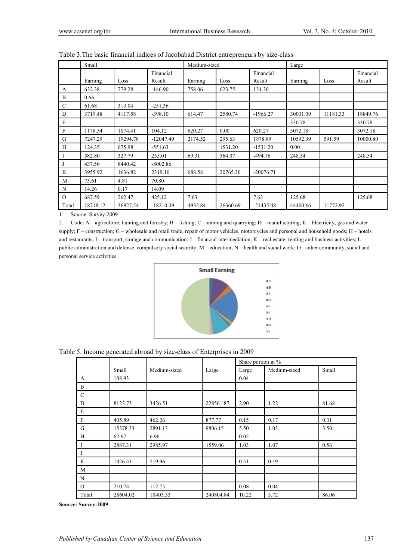|          | Small    |          |             | Medium-sized |          |             | Large    |          |           |
|----------|----------|----------|-------------|--------------|----------|-------------|----------|----------|-----------|
|          |          |          | Financial   |              |          | Financial   |          |          | Financial |
|          | Earning  | Loss     | Result      | Earning      | Loss     | Result      | Earning  | Loss     | Result    |
| A        | 632.38   | 779.28   | $-146.90$   | 758.06       | 623.75   | 134.30      |          |          |           |
| B        | 0.66     |          |             |              |          |             |          |          |           |
| C        | 61.68    | 313.04   | $-251.36$   |              |          |             |          |          |           |
| D        | 3719.48  | 4117.58  | $-398.10$   | 614.47       | 2580.74  | $-1966.27$  | 30031.09 | 11181.33 | 18849.76  |
| E        |          |          |             |              |          |             | 330.78   |          | 330.78    |
| F        | 1178.54  | 1074.41  | 104.12      | 620.27       | 0.00     | 620.27      | 3072.18  |          | 3072.18   |
| G        | 7247.29  | 19294.78 | $-12047.49$ | 2174.52      | 295.63   | 1878.89     | 10592.39 | 591.59   | 10000.80  |
| H        | 124.35   | 675.98   | $-551.63$   |              | 1531.20  | $-1531.20$  | 0.00     |          |           |
|          | 582.80   | 327.79   | 255.01      | 69.31        | 564.07   | $-494.76$   | 248.54   |          | 248.54    |
|          | 437.56   | 8440.42  | $-8002.86$  |              |          |             |          |          |           |
| K        | 3955.92  | 1636.82  | 2319.10     | 688.58       | 20765.30 | $-20076.71$ |          |          |           |
| M        | 75.61    | 4.81     | 70.80       |              |          |             |          |          |           |
| N        | 14.26    | 0.17     | 14.09       |              |          |             |          |          |           |
| $\Omega$ | 687.59   | 262.47   | 425.12      | 7.63         |          | 7.63        | 125.68   |          | 125.68    |
| Total    | 18718.12 | 36927.54 | $-18210.09$ | 4932.84      | 26360.69 | $-21435.48$ | 44400.66 | 11772.92 |           |

| Table 3. The basic financial indices of Jacobabad District entrepreneurs by size-class |  |  |
|----------------------------------------------------------------------------------------|--|--|
|----------------------------------------------------------------------------------------|--|--|

1. Source: Survey-2009

2. Code: A – agriculture, hunting and forestry; B – fishing; C – mining and quarrying; D – manufacturing; E – Electricity, gas and water supply; F – construction; G – wholesale and retail trade, repair of motor vehicles, motorcycles and personal and household goods; H – hotels and restaurants; I – transport, storage and communication; J – financial intermediation; K – real estate, renting and business activities; L – public administration and defense, compulsory social security; M – education; N – health and social work; O – other community, social and personal service activities



Table 5. Income generated abroad by size-class of Enterprises in 2009

|               |          |              |           |       | Share portion in % |       |  |
|---------------|----------|--------------|-----------|-------|--------------------|-------|--|
|               | Small    | Medium-sized | Large     | Large | Medium-sized       | Small |  |
| A             | 108.93   |              |           | 0.04  |                    |       |  |
| B             |          |              |           |       |                    |       |  |
| $\mathcal{C}$ |          |              |           |       |                    |       |  |
| D             | 8123.73  | 3426.51      | 228561.87 | 2.90  | 1.22               | 81.68 |  |
| E             |          |              |           |       |                    |       |  |
| F             | 405.89   | 462.26       | 877.77    | 0.15  | 0.17               | 0.31  |  |
| G             | 15378.33 | 2891.13      | 9806.15   | 5.50  | 1.03               | 3.50  |  |
| H             | 62.67    | 6.96         |           | 0.02  |                    |       |  |
| I             | 2887.31  | 2985.97      | 1559.06   | 1.03  | 1.07               | 0.56  |  |
| J             |          |              |           |       |                    |       |  |
| K             | 1426.41  | 519.96       |           | 0.51  | 0.19               |       |  |
| M             |          |              |           |       |                    |       |  |
| N             |          |              |           |       |                    |       |  |
| $\Omega$      | 210.74   | 112.75       |           | 0.08  | 0.04               |       |  |
| Total         | 28604.02 | 10405.53     | 240804.84 | 10.22 | 3.72               | 86.06 |  |

**Source: Survey-2009**